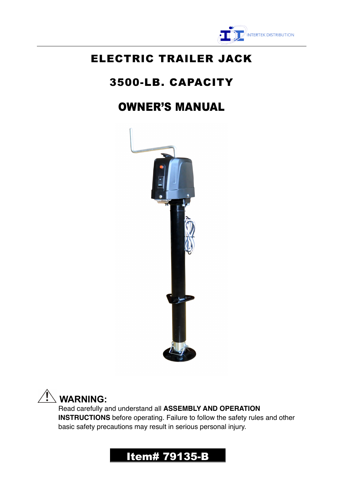

## ELECTRIC TRAILER JACK

# 3500-LB. CAPACITY

# OWNER'S MANUAL





 $\overline{a}$ 

Read carefully and understand all **ASSEMBLY AND OPERATION INSTRUCTIONS** before operating. Failure to follow the safety rules and other basic safety precautions may result in serious personal injury.

## Item# 79135-B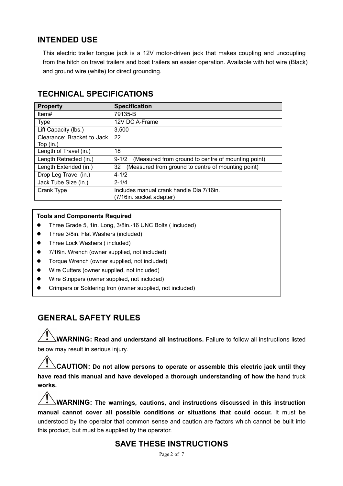#### **INTENDED USE**

This electric trailer tongue jack is a 12V motor-driven jack that makes coupling and uncoupling from the hitch on travel trailers and boat trailers an easier operation. Available with hot wire (Black) and ground wire (white) for direct grounding.

| <b>Property</b>            | <b>Specification</b>                                            |
|----------------------------|-----------------------------------------------------------------|
| Item#                      | 79135-B                                                         |
| <b>Type</b>                | 12V DC A-Frame                                                  |
| Lift Capacity (lbs.)       | 3,500                                                           |
| Clearance: Bracket to Jack | 22                                                              |
| Top (in.)                  |                                                                 |
| Length of Travel (in.)     | 18                                                              |
| Length Retracted (in.)     | (Measured from ground to centre of mounting point)<br>$9 - 1/2$ |
| Length Extended (in.)      | (Measured from ground to centre of mounting point)<br>32        |
| Drop Leg Travel (in.)      | $4 - 1/2$                                                       |
| Jack Tube Size (in.)       | $2 - 1/4$                                                       |
| Crank Type                 | Includes manual crank handle Dia 7/16in.                        |
|                            | (7/16in. socket adapter)                                        |

#### **TECHNICAL SPECIFICATIONS**

#### **Tools and Components Required**

- Three Grade 5, 1in. Long, 3/8in.-16 UNC Bolts (included)
- **•** Three 3/8in. Flat Washers (included)
- **•** Three Lock Washers (included)
- 7/16in. Wrench (owner supplied, not included)
- **•** Torque Wrench (owner supplied, not included)
- Wire Cutters (owner supplied, not included)
- **•** Wire Strippers (owner supplied, not included)
- l Crimpers or Soldering Iron (owner supplied, not included)

#### **GENERAL SAFETY RULES**

**WARNING: Read and understand all instructions.** Failure to follow all instructions listed below may result in serious injury.

**CAUTION: Do not allow persons to operate or assemble this electric jack until they have read this manual and have developed a thorough understanding of how the** hand truck **works.**

**WARNING: The warnings, cautions, and instructions discussed in this instruction manual cannot cover all possible conditions or situations that could occur.** It must be understood by the operator that common sense and caution are factors which cannot be built into this product, but must be supplied by the operator.

#### **SAVE THESE INSTRUCTIONS**

Page 2 of 7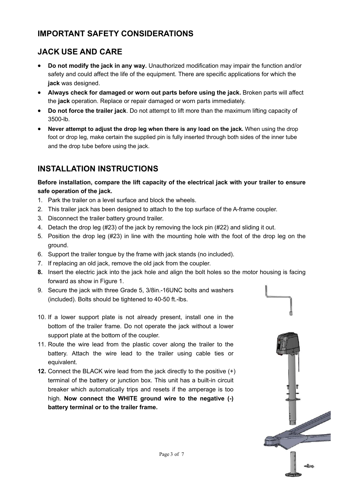#### **IMPORTANT SAFETY CONSIDERATIONS**

### **JACK USE AND CARE**

- **Do not modify the jack in any way.** Unauthorized modification may impair the function and/or safety and could affect the life of the equipment. There are specific applications for which the **jack** was designed.
- **Always check for damaged or worn out parts before using the jack.** Broken parts will affect the **jack** operation. Replace or repair damaged or worn parts immediately.
- **Do not force the trailer jack**. Do not attempt to lift more than the maximum lifting capacity of 3500-lb.
- Never attempt to adjust the drop leg when there is any load on the jack. When using the drop foot or drop leg, make certain the supplied pin is fully inserted through both sides of the inner tube and the drop tube before using the jack.

### **INSTALLATION INSTRUCTIONS**

**Before installation, compare the lift capacity of the electrical jack with your trailer to ensure safe operation of the jack.**

- 1. Park the trailer on a level surface and block the wheels.
- 2. This trailer jack has been designed to attach to the top surface of the A-frame coupler.
- 3. Disconnect the trailer battery ground trailer.
- 4. Detach the drop leg (#23) of the jack by removing the lock pin (#22) and sliding it out.
- 5. Position the drop leg (#23) in line with the mounting hole with the foot of the drop leg on the ground.
- 6. Support the trailer tongue by the frame with jack stands (no included).
- 7. If replacing an old jack, remove the old jack from the coupler.
- **8.** Insert the electric jack into the jack hole and align the bolt holes so the motor housing is facing forward as show in Figure 1.
- 9. Secure the jack with three Grade 5, 3/8in.-16UNC bolts and washers (included). Bolts should be tightened to 40-50 ft.-lbs.
- 10. If a lower support plate is not already present, install one in the bottom of the trailer frame. Do not operate the jack without a lower support plate at the bottom of the coupler.
- 11. Route the wire lead from the plastic cover along the trailer to the battery. Attach the wire lead to the trailer using cable ties or equivalent.
- **12.** Connect the BLACK wire lead from the jack directly to the positive (+) terminal of the battery or junction box. This unit has a built-in circuit breaker which automatically trips and resets if the amperage is too high. **Now connect the WHITE ground wire to the negative (-) battery terminal or to the trailer frame.**

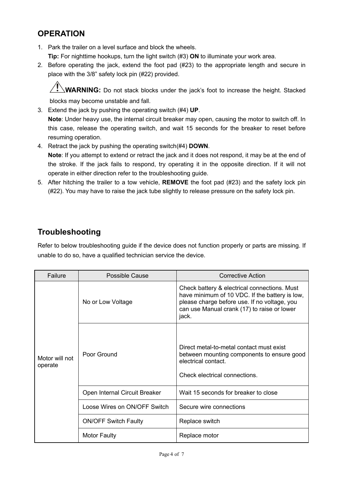#### **OPERATION**

- 1. Park the trailer on a level surface and block the wheels. **Tip:** For nighttime hookups, turn the light switch (#3) **ON** to illuminate your work area.
- 2. Before operating the jack, extend the foot pad (#23) to the appropriate length and secure in place with the 3/8" safety lock pin (#22) provided.

**WARNING:** Do not stack blocks under the jack's foot to increase the height. Stacked blocks may become unstable and fall.

- 3. Extend the jack by pushing the operating switch (#4) **UP**. **Note**: Under heavy use, the internal circuit breaker may open, causing the motor to switch off. In this case, release the operating switch, and wait 15 seconds for the breaker to reset before resuming operation.
- 4. Retract the jack by pushing the operating switch(#4) **DOWN**. **Note**: If you attempt to extend or retract the jack and it does not respond, it may be at the end of the stroke. If the jack fails to respond, try operating it in the opposite direction. If it will not operate in either direction refer to the troubleshooting guide.
- 5. After hitching the trailer to a tow vehicle, **REMOVE** the foot pad (#23) and the safety lock pin (#22). You may have to raise the jack tube slightly to release pressure on the safety lock pin.

#### **Troubleshooting**

Refer to below troubleshooting guide if the device does not function properly or parts are missing. If unable to do so, have a qualified technician service the device.

| Failure                   | Possible Cause                | <b>Corrective Action</b>                                                                                                                                                                               |  |
|---------------------------|-------------------------------|--------------------------------------------------------------------------------------------------------------------------------------------------------------------------------------------------------|--|
| Motor will not<br>operate | No or Low Voltage             | Check battery & electrical connections. Must<br>have minimum of 10 VDC. If the battery is low,<br>please charge before use. If no voltage, you<br>can use Manual crank (17) to raise or lower<br>jack. |  |
|                           | Poor Ground                   | Direct metal-to-metal contact must exist<br>between mounting components to ensure good<br>electrical contact.<br>Check electrical connections.                                                         |  |
|                           | Open Internal Circuit Breaker | Wait 15 seconds for breaker to close                                                                                                                                                                   |  |
|                           | Loose Wires on ON/OFF Switch  | Secure wire connections                                                                                                                                                                                |  |
|                           | <b>ON/OFF Switch Faulty</b>   | Replace switch                                                                                                                                                                                         |  |
|                           | <b>Motor Faulty</b>           | Replace motor                                                                                                                                                                                          |  |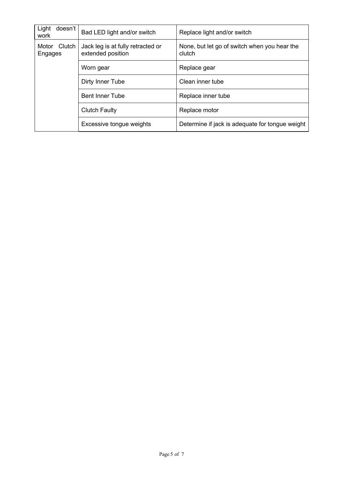| Light<br>doesn't<br>work | Bad LED light and/or switch<br>Replace light and/or switch |                                                        |
|--------------------------|------------------------------------------------------------|--------------------------------------------------------|
| Motor Clutch<br>Engages  | Jack leg is at fully retracted or<br>extended position     | None, but let go of switch when you hear the<br>clutch |
|                          | Worn gear                                                  | Replace gear                                           |
|                          | Dirty Inner Tube                                           | Clean inner tube                                       |
|                          | <b>Bent Inner Tube</b>                                     | Replace inner tube                                     |
|                          | <b>Clutch Faulty</b>                                       | Replace motor                                          |
|                          | Excessive tongue weights                                   | Determine if jack is adequate for tongue weight        |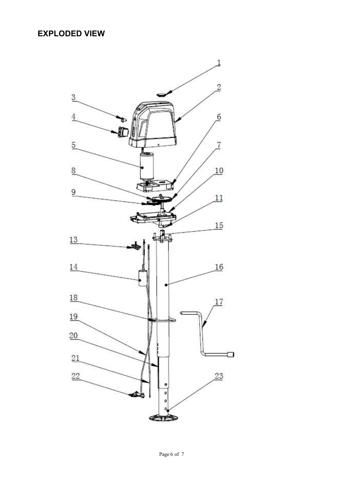### **EXPLODED VIEW**